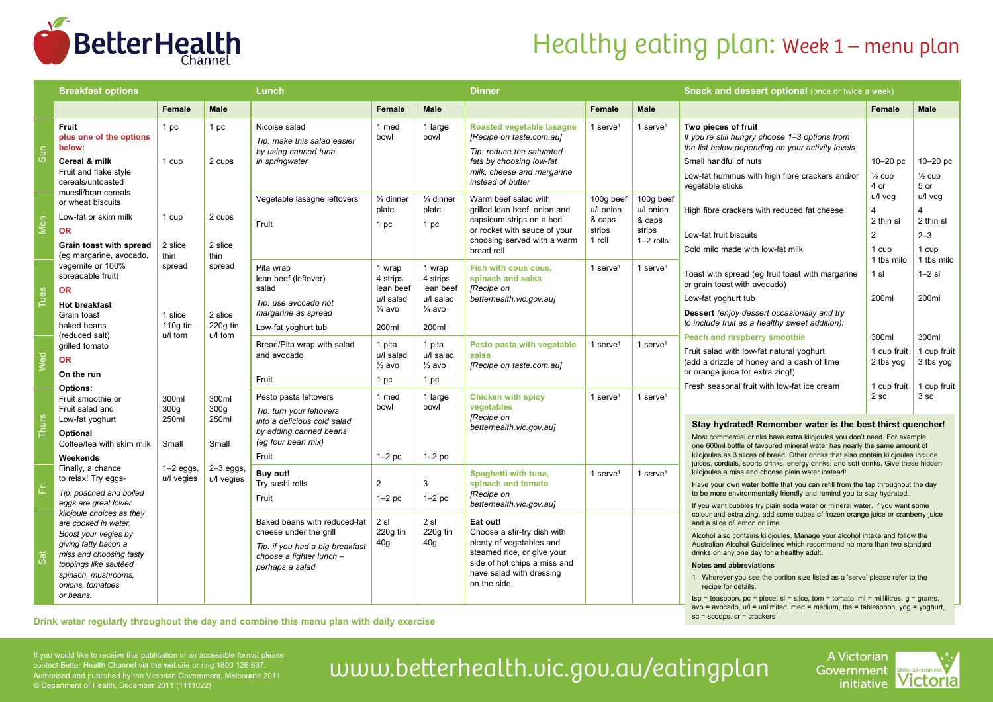

### Healthy eating plan: Week 1 - menu plan

|              | <b>Breakfast options</b>                                                                                                                                                                                                                        |                                                              |                                                                       | Lunch                                                                                                                                     |                                                                            |                                                                            | <b>Dinner</b>                                                                                                                                                                |                                                      |                                                           | <b>Snack and dessert optional (once or twice a week)</b>                                                                                                                                                                                                                                                                                                                                                                                                                                                                                                                                                                                                                                                                                                                                                                                                                                                                                                                                                                              |                                                                                                 |                                                                                          |  |
|--------------|-------------------------------------------------------------------------------------------------------------------------------------------------------------------------------------------------------------------------------------------------|--------------------------------------------------------------|-----------------------------------------------------------------------|-------------------------------------------------------------------------------------------------------------------------------------------|----------------------------------------------------------------------------|----------------------------------------------------------------------------|------------------------------------------------------------------------------------------------------------------------------------------------------------------------------|------------------------------------------------------|-----------------------------------------------------------|---------------------------------------------------------------------------------------------------------------------------------------------------------------------------------------------------------------------------------------------------------------------------------------------------------------------------------------------------------------------------------------------------------------------------------------------------------------------------------------------------------------------------------------------------------------------------------------------------------------------------------------------------------------------------------------------------------------------------------------------------------------------------------------------------------------------------------------------------------------------------------------------------------------------------------------------------------------------------------------------------------------------------------------|-------------------------------------------------------------------------------------------------|------------------------------------------------------------------------------------------|--|
|              |                                                                                                                                                                                                                                                 | Female                                                       | <b>Male</b>                                                           |                                                                                                                                           | Female                                                                     | Male                                                                       |                                                                                                                                                                              | Female                                               | <b>Male</b>                                               |                                                                                                                                                                                                                                                                                                                                                                                                                                                                                                                                                                                                                                                                                                                                                                                                                                                                                                                                                                                                                                       | Female                                                                                          | <b>Male</b>                                                                              |  |
| Sun          | <b>Fruit</b><br>plus one of the options<br>below:<br>Cereal & milk<br>Fruit and flake style<br>cereals/untoasted                                                                                                                                | 1 pc<br>1 cup                                                | 1 pc<br>2 cups                                                        | Nicoise salad<br>Tip: make this salad easier<br>by using canned tuna<br>in springwater                                                    | 1 med<br>bowl                                                              | 1 large<br>bowl                                                            | Roasted vegetable lasagne<br>[Recipe on taste.com.au]<br>Tip: reduce the saturated<br>fats by choosing low-fat<br>milk, cheese and margarine<br>instead of butter            | 1 serve $1$                                          | 1 serve <sup>1</sup>                                      | Two pieces of fruit<br>If you're still hungry choose 1-3 options from<br>the list below depending on your activity levels<br>Small handful of nuts<br>Low-fat hummus with high fibre crackers and/or<br>vegetable sticks<br>High fibre crackers with reduced fat cheese<br>Low-fat fruit biscuits<br>Cold milo made with low-fat milk<br>Toast with spread (eg fruit toast with margarine<br>or grain toast with avocado)<br>Low-fat yoghurt tub<br>Dessert (enjoy dessert occasionally and try<br>to include fruit as a healthy sweet addition):<br>Peach and raspberry smoothie<br>Fruit salad with low-fat natural yoghurt<br>(add a drizzle of honey and a dash of lime<br>or orange juice for extra zing!)<br>Fresh seasonal fruit with low-fat ice cream                                                                                                                                                                                                                                                                        | $10-20$ pc<br>$\frac{1}{2}$ cup<br>4 cr<br>u/l vea<br>4<br>2 thin sl<br>$\overline{2}$<br>1 cup | $10-20$ pc<br>$\frac{1}{2}$ cup<br>5 cr<br>u/l veg<br>4<br>2 thin sl<br>$2 - 3$<br>1 cup |  |
| Mon          | muesli/bran cereals<br>or wheat biscuits<br>Low-fat or skim milk<br><b>OR</b><br>Grain toast with spread<br>(eq margarine, avocado,<br>vegemite or 100%<br>spreadable fruit)<br><b>OR</b><br><b>Hot breakfast</b><br>Grain toast<br>baked beans | 1 cup<br>2 slice<br>thin<br>spread<br>1 slice<br>110 $g$ tin | 2 cups<br>2 slice<br>thin<br>spread<br>2 slice<br>220g tin<br>u/l tom | Vegetable lasagne leftovers<br>Fruit                                                                                                      | $\frac{1}{4}$ dinner<br>plate<br>1 pc                                      | 1/ <sub>4</sub> dinner<br>plate<br>1 pc                                    | Warm beef salad with<br>grilled lean beef, onion and<br>capsicum strips on a bed<br>or rocket with sauce of your<br>choosing served with a warm<br>bread roll                | 100g beef<br>u/l onion<br>& caps<br>strips<br>1 roll | 100g beef<br>u/l onion<br>& caps<br>strips<br>$1-2$ rolls |                                                                                                                                                                                                                                                                                                                                                                                                                                                                                                                                                                                                                                                                                                                                                                                                                                                                                                                                                                                                                                       |                                                                                                 |                                                                                          |  |
| Tues         |                                                                                                                                                                                                                                                 |                                                              |                                                                       | Pita wrap<br>lean beef (leftover)<br>salad<br>Tip: use avocado not<br>margarine as spread<br>Low-fat yoghurt tub                          | 1 wrap<br>4 strips<br>lean beef<br>u/l salad<br>$\frac{1}{4}$ avo<br>200ml | 1 wrap<br>4 strips<br>lean beef<br>u/l salad<br>$\frac{1}{4}$ avo<br>200ml | Fish with cous cous.<br>spinach and salsa<br>[Recipe on<br>betterhealth.vic.gov.au]                                                                                          | 1 serve $1$                                          | 1 serve $1$                                               |                                                                                                                                                                                                                                                                                                                                                                                                                                                                                                                                                                                                                                                                                                                                                                                                                                                                                                                                                                                                                                       | 1 tbs milo<br>1 sl<br>200ml                                                                     | 1 tbs milo<br>$1-2$ sl<br>200ml                                                          |  |
| Wed          | (reduced salt)<br>grilled tomato<br><b>OR</b><br>On the run<br>Options:                                                                                                                                                                         | u/l tom                                                      |                                                                       | Bread/Pita wrap with salad<br>and avocado<br>Fruit                                                                                        | 1 pita<br>u/l salad<br>$\frac{1}{2}$ avo<br>1 pc                           | 1 pita<br>u/l salad<br>$\frac{1}{2}$ avo<br>1 pc                           | Pesto pasta with vegetable<br>salsa<br>[Recipe on taste.com.au]                                                                                                              | 1 serve $1$                                          | 1 serve $1$                                               |                                                                                                                                                                                                                                                                                                                                                                                                                                                                                                                                                                                                                                                                                                                                                                                                                                                                                                                                                                                                                                       | 300ml<br>1 cup fruit<br>2 tbs yog<br>1 cup fruit                                                | 300ml<br>1 cup fruit<br>3 tbs yog<br>1 cup fruit                                         |  |
| <b>Thurs</b> | Fruit smoothie or<br>Fruit salad and<br>Low-fat yoghurt<br>Optional<br>Coffee/tea with skim milk<br>Weekends                                                                                                                                    | 300ml<br>300 <sub>g</sub><br>250ml<br>Small                  | 300ml<br>300 <sub>g</sub><br>250ml<br>Small                           | Pesto pasta leftovers<br>Tip: turn your leftovers<br>into a delicious cold salad<br>by adding canned beans<br>(eg four bean mix)<br>Fruit | 1 med<br>bowl<br>$1-2$ pc                                                  | 1 large<br>bowl<br>$1-2$ pc                                                | <b>Chicken with spicy</b><br>vegetables<br>[Recipe on<br>betterhealth.vic.gov.au]                                                                                            | 1 serve <sup>1</sup>                                 | 1 serve $1$                                               | Stay hydrated! Remember water is the best thirst quencher!<br>Most commercial drinks have extra kilojoules you don't need. For example,<br>one 600ml bottle of favoured mineral water has nearly the same amount of<br>kilojoules as 3 slices of bread. Other drinks that also contain kilojoules include                                                                                                                                                                                                                                                                                                                                                                                                                                                                                                                                                                                                                                                                                                                             | 2 <sub>sc</sub><br>3 <sub>sc</sub>                                                              |                                                                                          |  |
| 置            | Finally, a chance<br>to relax! Try eggs-<br>Tip: poached and boiled<br>eggs are great lower<br>kilojoule choices as they                                                                                                                        | $1-2$ eggs,<br>u/l vegies                                    | $2-3$ eggs.<br>u/l vegies                                             | Buy out!<br>Try sushi rolls<br>Fruit                                                                                                      | $\overline{2}$<br>$1-2$ pc                                                 | 3<br>$1-2$ pc                                                              | Spaghetti with tuna,<br>spinach and tomato<br>[Recipe on<br>betterhealth.vic.gov.au]                                                                                         | 1 serve $1$                                          | 1 serve $1$                                               | juices, cordials, sports drinks, energy drinks, and soft drinks. Give these hidden<br>kilojoules a miss and choose plain water instead!<br>Have your own water bottle that you can refill from the tap throughout the day<br>to be more environmentally friendly and remind you to stay hydrated.<br>If you want bubbles try plain soda water or mineral water. If you want some<br>colour and extra zing, add some cubes of frozen orange juice or cranberry juice<br>and a slice of lemon or lime.<br>Alcohol also contains kilojoules. Manage your alcohol intake and follow the<br>Australian Alcohol Guidelines which recommend no more than two standard<br>drinks on any one day for a healthy adult.<br><b>Notes and abbreviations</b><br>1 Wherever you see the portion size listed as a 'serve' please refer to the<br>recipe for details.<br>$tsp = teaspoon$ , $pc = piece$ , $sl = slice$ , $tom = tomato$ , $ml = millilitres$ , $g = grams$ ,<br>$-$ avecade $y =$ unlimited med $-$ medium the $-$ tablecness yea $-$ |                                                                                                 |                                                                                          |  |
| Sat          | are cooked in water.<br>Boost your vegies by<br>giving fatty bacon a<br>miss and choosing tasty<br>toppings like sautéed<br>spinach, mushrooms,<br>onions, tomatoes<br>or beans.                                                                |                                                              |                                                                       | Baked beans with reduced-fat<br>cheese under the grill<br>Tip: if you had a big breakfast<br>choose a lighter lunch -<br>perhaps a salad  | 2 sl<br>220q tin<br>40 <sub>g</sub>                                        | 2 s1<br>220q tin<br>40 <sub>g</sub>                                        | Eat out!<br>Choose a stir-fry dish with<br>plenty of vegetables and<br>steamed rice, or give your<br>side of hot chips a miss and<br>have salad with dressing<br>on the side |                                                      |                                                           |                                                                                                                                                                                                                                                                                                                                                                                                                                                                                                                                                                                                                                                                                                                                                                                                                                                                                                                                                                                                                                       |                                                                                                 |                                                                                          |  |

Drink water regularly throughout the day and combine this menu plan with daily exercise

 $a$ vo = avocado,  $u$ l = unlimited, med = medium, tbs = tablespoon, yog = yoghu sc = scoops, cr = crackers

contact Better Health Channel via the website or ring 1800 126 637. Authorised and published by the Victorian Government, Melbourne 2011 © Department of Health, December 2011 (1111022)

# If you would like to receive this publication in an accessible format please<br>Contact Better Health Channel via the website or ring 1800 126 637.<br>Authorised and published by the Victorian Government, Melbourne 2011 UWW.bett